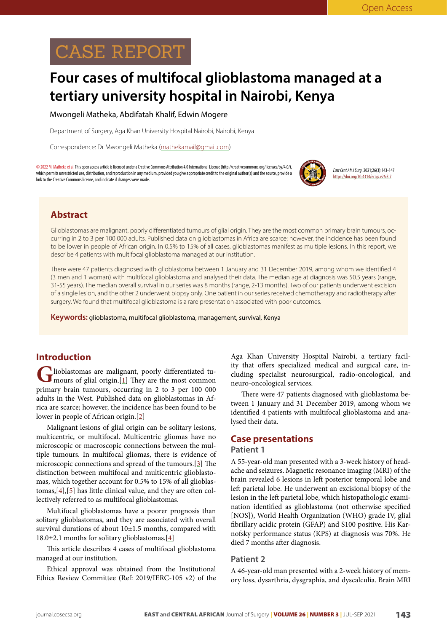# CASE REPORT

## **Four cases of multifocal glioblastoma managed at a tertiary university hospital in Nairobi, Kenya**

Mwongeli Matheka, Abdifatah Khalif, Edwin Mogere

Department of Surgery, Aga Khan University Hospital Nairobi, Nairobi, Kenya

Correspondence: Dr Mwongeli Matheka (mathekamail@gmail.com)

©2022 M. Matheka et al. This open access article is licensed under a Creative Commons Attribution 4.0 International License (http://creativecommons.org/licenses/by/4.0/), which permits unrestricted use, distribution, and reproduction in any medium, provided you give appropriate credit to the original author(s) and the source, provide a link to the Creative Commons license, and indicate if changes were made.



*East Cent Afr J Surg*. 2021;26(3):143-147 https://doi.org/10.4314/ecajs.v26i3.7

### **Abstract**

Glioblastomas are malignant, poorly differentiated tumours of glial origin. They are the most common primary brain tumours, occurring in 2 to 3 per 100 000 adults. Published data on glioblastomas in Africa are scarce; however, the incidence has been found to be lower in people of African origin. In 0.5% to 15% of all cases, glioblastomas manifest as multiple lesions. In this report, we describe 4 patients with multifocal glioblastoma managed at our institution.

There were 47 patients diagnosed with glioblastoma between 1 January and 31 December 2019, among whom we identified 4 (3 men and 1 woman) with multifocal glioblastoma and analysed their data. The median age at diagnosis was 50.5 years (range, 31-55 years). The median overall survival in our series was 8 months (range, 2-13 months). Two of our patients underwent excision of a single lesion, and the other 2 underwent biopsy only. One patient in our series received chemotherapy and radiotherapy after surgery. We found that multifocal glioblastoma is a rare presentation associated with poor outcomes.

**Keywords:** glioblastoma, multifocal glioblastoma, management, survival, Kenya

#### **Introduction**

Glioblastomas are malignant, poorly differentiated tu-<br>mours of glial origin.[\[1](#page-3-0)] They are the most common primary brain tumours, occurring in 2 to 3 per 100 000 adults in the West. Published data on glioblastomas in Africa are scarce; however, the incidence has been found to be lower in people of African origin.[[2\]](#page-3-1)

Malignant lesions of glial origin can be solitary lesions, multicentric, or multifocal. Multicentric gliomas have no microscopic or macroscopic connections between the multiple tumours. In multifocal gliomas, there is evidence of microscopic connections and spread of the tumours.[\[3\]](#page-3-2) The distinction between multifocal and multicentric glioblastomas, which together account for 0.5% to 15% of all glioblastomas, $[4]$ , $[5]$  has little clinical value, and they are often collectively referred to as multifocal glioblastomas.

Multifocal glioblastomas have a poorer prognosis than solitary glioblastomas, and they are associated with overall survival durations of about 10±1.5 months, compared with 18.0 $\pm$ 2.1 months for solitary glioblastomas.[ $\frac{4}{3}$ ]

This article describes 4 cases of multifocal glioblastoma managed at our institution.

Ethical approval was obtained from the Institutional Ethics Review Committee (Ref: 2019/IERC-105 v2) of the Aga Khan University Hospital Nairobi, a tertiary facility that offers specialized medical and surgical care, including specialist neurosurgical, radio-oncological, and neuro-oncological services.

There were 47 patients diagnosed with glioblastoma between 1 January and 31 December 2019, among whom we identified 4 patients with multifocal glioblastoma and analysed their data.

#### **Case presentations**

#### **Patient 1**

A 55-year-old man presented with a 3-week history of headache and seizures. Magnetic resonance imaging (MRI) of the brain revealed 6 lesions in left posterior temporal lobe and left parietal lobe. He underwent an excisional biopsy of the lesion in the left parietal lobe, which histopathologic examination identified as glioblastoma (not otherwise specified [NOS]), World Health Organization (WHO) grade IV, glial fibrillary acidic protein (GFAP) and S100 positive. His Karnofsky performance status (KPS) at diagnosis was 70%. He died 7 months after diagnosis.

#### **Patient 2**

A 46-year-old man presented with a 2-week history of memory loss, dysarthria, dysgraphia, and dyscalculia. Brain MRI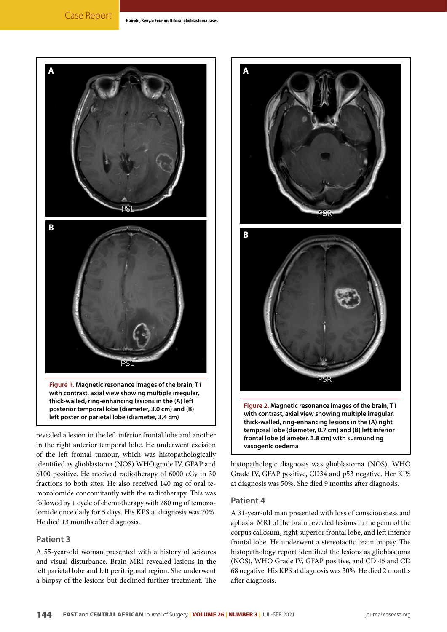

revealed a lesion in the left inferior frontal lobe and another in the right anterior temporal lobe. He underwent excision of the left frontal tumour, which was histopathologically identified as glioblastoma (NOS) WHO grade IV, GFAP and S100 positive. He received radiotherapy of 6000 cGy in 30 fractions to both sites. He also received 140 mg of oral temozolomide concomitantly with the radiotherapy. This was followed by 1 cycle of chemotherapy with 280 mg of temozolomide once daily for 5 days. His KPS at diagnosis was 70%. He died 13 months after diagnosis.

#### **Patient 3**

A 55-year-old woman presented with a history of seizures and visual disturbance. Brain MRI revealed lesions in the left parietal lobe and left peritrigonal region. She underwent a biopsy of the lesions but declined further treatment. The



histopathologic diagnosis was glioblastoma (NOS), WHO Grade IV, GFAP positive, CD34 and p53 negative. Her KPS at diagnosis was 50%. She died 9 months after diagnosis.

#### **Patient 4**

A 31-year-old man presented with loss of consciousness and aphasia. MRI of the brain revealed lesions in the genu of the corpus callosum, right superior frontal lobe, and left inferior frontal lobe. He underwent a stereotactic brain biopsy. The histopathology report identified the lesions as glioblastoma (NOS), WHO Grade IV, GFAP positive, and CD 45 and CD 68 negative. His KPS at diagnosis was 30%. He died 2 months after diagnosis.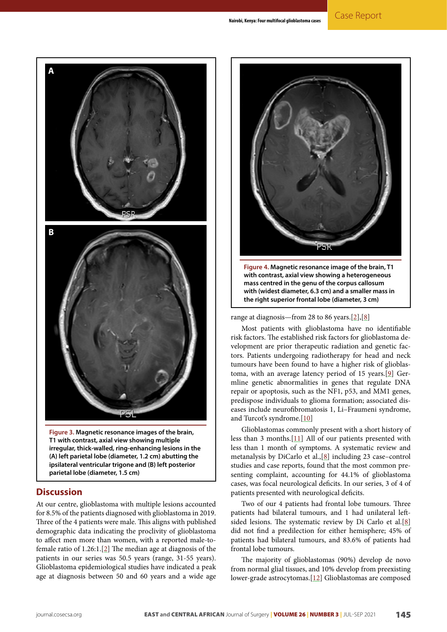

**Figure 3. Magnetic resonance images of the brain, T1 with contrast, axial view showing multiple irregular, thick-walled, ring-enhancing lesions in the (A) left parietal lobe (diameter, 1.2 cm) abutting the ipsilateral ventricular trigone and (B) left posterior parietal lobe (diameter, 1.5 cm)** 

#### **Discussion**

At our centre, glioblastoma with multiple lesions accounted for 8.5% of the patients diagnosed with glioblastoma in 2019. Three of the 4 patients were male. This aligns with published demographic data indicating the proclivity of glioblastoma to affect men more than women, with a reported male-tofemale ratio of 1.26:1.[\[2](#page-3-1)] The median age at diagnosis of the patients in our series was 50.5 years (range, 31-55 years). Glioblastoma epidemiological studies have indicated a peak age at diagnosis between 50 and 60 years and a wide age



**Figure 4. Magnetic resonance image of the brain, T1 with contrast, axial view showing a heterogeneous mass centred in the genu of the corpus callosum with (widest diameter, 6.3 cm) and a smaller mass in the right superior frontal lobe (diameter, 3 cm)** 

range at diagnosis—from 28 to 86 years.[[2\]](#page-3-1),[[8\]](#page-3-5)

Most patients with glioblastoma have no identifiable risk factors. The established risk factors for glioblastoma development are prior therapeutic radiation and genetic factors. Patients undergoing radiotherapy for head and neck tumours have been found to have a higher risk of glioblastoma, with an average latency period of 15 years.[[9](#page-3-6)] Germline genetic abnormalities in genes that regulate DNA repair or apoptosis, such as the NF1, p53, and MM1 genes, predispose individuals to glioma formation; associated diseases include neurofibromatosis 1, Li–Fraumeni syndrome, and Turcot's syndrome.[[10](#page-3-7)]

Glioblastomas commonly present with a short history of less than 3 months.[\[11\]](#page-3-8) All of our patients presented with less than 1 month of symptoms. A systematic review and metanalysis by DiCarlo et al.,[\[8\]](#page-3-5) including 23 case–control studies and case reports, found that the most common presenting complaint, accounting for 44.1% of glioblastoma cases, was focal neurological deficits. In our series, 3 of 4 of patients presented with neurological deficits.

Two of our 4 patients had frontal lobe tumours. Three patients had bilateral tumours, and 1 had unilateral leftsided lesions. The systematic review by Di Carlo et al.[[8\]](#page-3-5) did not find a predilection for either hemisphere; 45% of patients had bilateral tumours, and 83.6% of patients had frontal lobe tumours.

The majority of glioblastomas (90%) develop de novo from normal glial tissues, and 10% develop from preexisting lower-grade astrocytomas.[[12](#page-4-0)] Glioblastomas are composed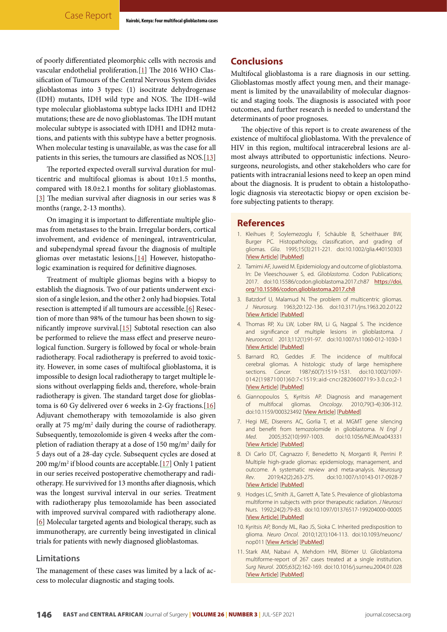of poorly differentiated pleomorphic cells with necrosis and vascular endothelial proliferation.[[1\]](#page-3-5) The 2016 WHO Classification of Tumours of the Central Nervous System divides glioblastomas into 3 types: (1) isocitrate dehydrogenase (IDH) mutants, IDH wild type and NOS. The IDH–wild type molecular glioblastoma subtype lacks IDH1 and IDH2 mutations; these are de novo glioblastomas. The IDH mutant molecular subtype is associated with IDH1 and IDH2 mutations, and patients with this subtype have a better prognosis. When molecular testing is unavailable, as was the case for all patients in this series, the tumours are classified as NOS.[[13](#page-4-1)]

The reported expected overall survival duration for multicentric and multifocal gliomas is about 10±1.5 months, compared with 18.0±2.1 months for solitary glioblastomas. [[3](#page-3-2)] The median survival after diagnosis in our series was 8 months (range, 2-13 months).

On imaging it is important to differentiate multiple gliomas from metastases to the brain. Irregular borders, cortical involvement, and evidence of meningeal, intraventricular, and subependymal spread favour the diagnosis of multiple gliomas over metastatic lesions.[[14](#page-4-2)] However, histopathologic examination is required for definitive diagnoses.

Treatment of multiple gliomas begins with a biopsy to establish the diagnosis. Two of our patients underwent excision of a single lesion, and the other 2 only had biopsies. Total resection is attempted if all tumours are accessible.[\[6\]](#page-3-9) Resection of more than 98% of the tumour has been shown to significantly improve survival.[[15](#page-4-3)] Subtotal resection can also be performed to relieve the mass effect and preserve neurological function. Surgery is followed by focal or whole-brain radiotherapy. Focal radiotherapy is preferred to avoid toxicity. However, in some cases of multifocal glioblastoma, it is impossible to design local radiotherapy to target multiple lesions without overlapping fields and, therefore, whole-brain radiotherapy is given. The standard target dose for glioblas-toma is 60 Gy delivered over 6 weeks in 2-Gy fractions.[[16](#page-4-4)] Adjuvant chemotherapy with temozolamide is also given orally at 75 mg/m<sup>2</sup> daily during the course of radiotherapy. Subsequently, temozolomide is given 4 weeks after the completion of radiation therapy at a dose of 150 mg/m2 daily for 5 days out of a 28-day cycle. Subsequent cycles are dosed at 200 mg/m2 if blood counts are acceptable.[\[17\]](#page-4-5) Only 1 patient in our series received postoperative chemotherapy and radiotherapy. He survivived for 13 months after diagnosis, which was the longest survival interval in our series. Treatment with radiotherapy plus temozolamide has been associated with improved survival compared with radiotherapy alone. [[6](#page-3-9)] Molecular targeted agents and biological therapy, such as immunotherapy, are currently being investigated in clinical trials for patients with newly diagnosed glioblastomas.

#### **Limitations**

The management of these cases was limited by a lack of access to molecular diagnostic and staging tools.

#### **Conclusions**

Multifocal glioblastoma is a rare diagnosis in our setting. Glioblastomas mostly affect young men, and their management is limited by the unavailability of molecular diagnostic and staging tools. The diagnosis is associated with poor outcomes, and further research is needed to understand the determinants of poor prognoses.

The objective of this report is to create awareness of the existence of multifocal glioblastoma. With the prevalence of HIV in this region, multifocal intracerebral lesions are almost always attributed to opportunistic infections. Neurosurgeons, neurologists, and other stakeholders who care for patients with intracranial lesions need to keep an open mind about the diagnosis. It is prudent to obtain a histolopathologic diagnosis via stereotactic biopsy or open excision before subjecting patients to therapy.

#### **References**

- <span id="page-3-0"></span>1. Kleihues P, Soylemezoglu F, Schäuble B, Scheithauer BW, Burger PC. Histopathology, classification, and grading of gliomas. *Glia*. 1995;15(3):211-221. doi:10.1002/glia.440150303 [[View Article](https://doi.org/10.1002/glia.440150303)] [[PubMed](https://pubmed.ncbi.nlm.nih.gov/8586458/)]
- <span id="page-3-1"></span>2. Tamimi AF, Juweid M. Epidemiology and outcome of glioblastoma. In: De Vleeschouwer S, ed. *Glioblastoma*. Codon Publications; 2017. doi:10.15586/codon.glioblastoma.2017.ch87 [https://doi.](https://doi.org/10.15586/codon.glioblastoma.2017.ch8) [org/10.15586/codon.glioblastoma.2017.ch8](https://doi.org/10.15586/codon.glioblastoma.2017.ch8)
- <span id="page-3-2"></span>3. Batzdorf U, Malamud N. The problem of multicentric gliomas. *J Neurosurg*. 1963;20:122-136. doi:10.3171/jns.1963.20.2.0122 [[View Article](https://doi.org/10.3171/jns.1963.20.2.0122)] [[PubMed](https://pubmed.ncbi.nlm.nih.gov/14192080/)]
- <span id="page-3-3"></span>4. Thomas RP, Xu LW, Lober RM, Li G, Nagpal S. The incidence and significance of multiple lesions in glioblastoma. *J Neurooncol*. 2013;112(1):91-97. doi:10.1007/s11060-012-1030-1 [[View Article](https://doi.org/10.1007/s11060-012-1030-1)] [[PubMed](https://pubmed.ncbi.nlm.nih.gov/23354652/)]
- <span id="page-3-4"></span>5. Barnard RO, Geddes JF. The incidence of multifocal cerebral gliomas. A histologic study of large hemisphere sections. *Cancer*. 1987;60(7):1519-1531. doi:10.1002/1097- 0142(19871001)60:7<1519::aid-cncr2820600719>3.0.co;2-1 [[View Article](https://doi.org/10.1002/1097-0142(19871001)60:7%3C1519::aid-cncr2820600719%3E3.0.co;2-1)] [[PubMed](https://pubmed.ncbi.nlm.nih.gov/3113716/)]
- <span id="page-3-9"></span>6. Giannopoulos S, Kyritsis AP. Diagnosis and management of multifocal gliomas. *Oncology*. 2010;79(3-4):306-312. doi:10.1159/000323492 [[View Article](https://doi.org/10.1159/000323492)] [[PubMed](https://pubmed.ncbi.nlm.nih.gov/21412017/)]
- 7. Hegi ME, Diserens AC, Gorlia T, et al. MGMT gene silencing and benefit from temozolomide in glioblastoma. *N Engl J Med*. 2005;352(10):997-1003. doi:10.1056/NEJMoa043331 [[View Article](https://doi.org/10.1056/nejmoa043331)] [[PubMed](https://pubmed.ncbi.nlm.nih.gov/15758010/)]
- <span id="page-3-5"></span>8. Di Carlo DT, Cagnazzo F, Benedetto N, Morganti R, Perrini P. Multiple high-grade gliomas: epidemiology, management, and outcome. A systematic review and meta-analysis. *Neurosurg Rev*. 2019;42(2):263-275. doi:10.1007/s10143-017-0928-7 [[View Article](https://doi.org/10.1007/s10143-017-0928-7)] [[PubMed](https://pubmed.ncbi.nlm.nih.gov/29138949/)]
- <span id="page-3-6"></span>9. Hodges LC, Smith JL, Garrett A, Tate S. Prevalence of glioblastoma multiforme in subjects with prior therapeutic radiation. *J Neurosci* Nurs. 1992;24(2):79-83. doi:10.1097/01376517-199204000-00005 [[View Article\]](https://doi.org/10.1097/01376517-199204000-00005) [[PubMed](https://pubmed.ncbi.nlm.nih.gov/1318344/)]
- <span id="page-3-7"></span>10. Kyritsis AP, Bondy ML, Rao JS, Sioka C. Inherited predisposition to glioma. *Neuro Oncol*. 2010;12(1):104-113. doi:10.1093/neuonc/ nop011 [[View Article](https://doi.org/10.1093/neuonc/nop011)] [[PubMed](https://pubmed.ncbi.nlm.nih.gov/20150373/)]
- <span id="page-3-8"></span>11. Stark AM, Nabavi A, Mehdorn HM, Blömer U. Glioblastoma multiforme-report of 267 cases treated at a single institution. *Surg Neurol*. 2005;63(2):162-169. doi:10.1016/j.surneu.2004.01.028 [[View Article](https://doi.org/10.1016/j.surneu.2004.01.028)] [[PubMed](https://pubmed.ncbi.nlm.nih.gov/15680662/)]